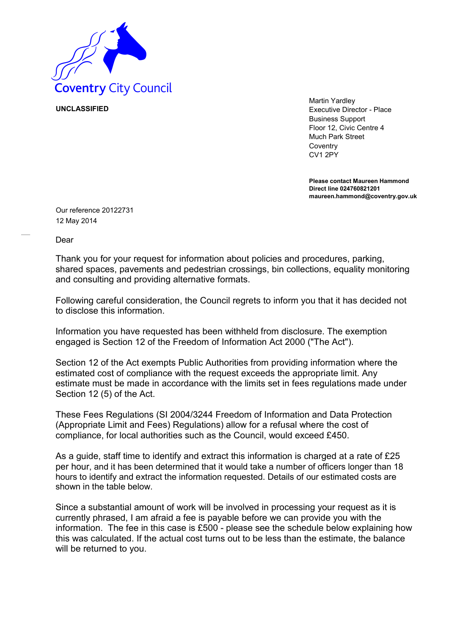

**UNCLASSIFIED**

Martin Yardley Executive Director - Place Business Support Floor 12, Civic Centre 4 Much Park Street **Coventry** CV1 2PY

**Please contact Maureen Hammond Direct line 024760821201 maureen.hammond@coventry.gov.uk**

Our reference 20122731 12 May 2014

Dear

Thank you for your request for information about policies and procedures, parking, shared spaces, pavements and pedestrian crossings, bin collections, equality monitoring and consulting and providing alternative formats.

Following careful consideration, the Council regrets to inform you that it has decided not to disclose this information.

Information you have requested has been withheld from disclosure. The exemption engaged is Section 12 of the Freedom of Information Act 2000 ("The Act").

Section 12 of the Act exempts Public Authorities from providing information where the estimated cost of compliance with the request exceeds the appropriate limit. Any estimate must be made in accordance with the limits set in fees regulations made under Section 12 (5) of the Act.

These Fees Regulations (SI 2004/3244 Freedom of Information and Data Protection (Appropriate Limit and Fees) Regulations) allow for a refusal where the cost of compliance, for local authorities such as the Council, would exceed £450.

As a guide, staff time to identify and extract this information is charged at a rate of £25 per hour, and it has been determined that it would take a number of officers longer than 18 hours to identify and extract the information requested. Details of our estimated costs are shown in the table below.

Since a substantial amount of work will be involved in processing your request as it is currently phrased, I am afraid a fee is payable before we can provide you with the information. The fee in this case is £500 - please see the schedule below explaining how this was calculated. If the actual cost turns out to be less than the estimate, the balance will be returned to you.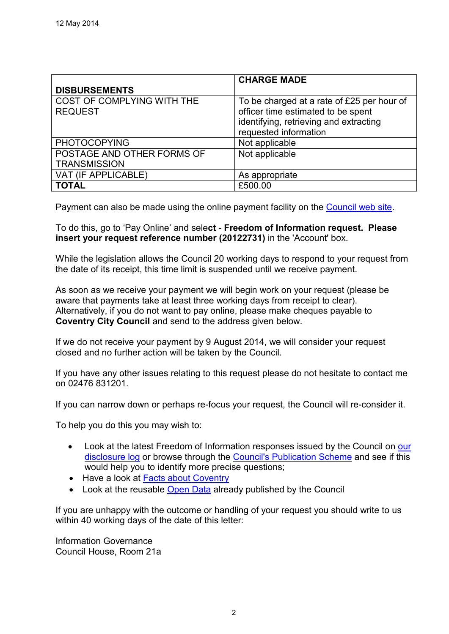|                                                   | <b>CHARGE MADE</b>                                                                                                                                  |
|---------------------------------------------------|-----------------------------------------------------------------------------------------------------------------------------------------------------|
| <b>DISBURSEMENTS</b>                              |                                                                                                                                                     |
| COST OF COMPLYING WITH THE<br><b>REQUEST</b>      | To be charged at a rate of £25 per hour of<br>officer time estimated to be spent<br>identifying, retrieving and extracting<br>requested information |
| <b>PHOTOCOPYING</b>                               | Not applicable                                                                                                                                      |
| POSTAGE AND OTHER FORMS OF<br><b>TRANSMISSION</b> | Not applicable                                                                                                                                      |
| VAT (IF APPLICABLE)                               | As appropriate                                                                                                                                      |
| <b>TOTAL</b>                                      | £500.00                                                                                                                                             |

Payment can also be made using the online payment facility on the [Council web site.](http://www.coventry.gov.uk/)

To do this, go to 'Pay Online' and sele**ct** - **Freedom of Information request. Please insert your request reference number (20122731)** in the 'Account' box.

While the legislation allows the Council 20 working days to respond to your request from the date of its receipt, this time limit is suspended until we receive payment.

As soon as we receive your payment we will begin work on your request (please be aware that payments take at least three working days from receipt to clear). Alternatively, if you do not want to pay online, please make cheques payable to **Coventry City Council** and send to the address given below.

If we do not receive your payment by 9 August 2014, we will consider your request closed and no further action will be taken by the Council.

If you have any other issues relating to this request please do not hesitate to contact me on 02476 831201.

If you can narrow down or perhaps re-focus your request, the Council will re-consider it.

To help you do this you may wish to:

- Look at the latest Freedom of Information responses issued by the Council on our [disclosure log](http://www.coventry.gov.uk/foieirrequests) or browse through the [Council's Publication Scheme](http://www.coventry.gov.uk/info/200031/data_protection_and_freedom_of_information/380/publication_scheme) and see if this would help you to identify more precise questions;
- Have a look at [Facts about Coventry](http://www.facts-about-coventry.com/)
- Look at the reusable [Open Data](http://www.coventry.gov.uk/a_to_z/service/824/open_data) already published by the Council

If you are unhappy with the outcome or handling of your request you should write to us within 40 working days of the date of this letter:

Information Governance Council House, Room 21a